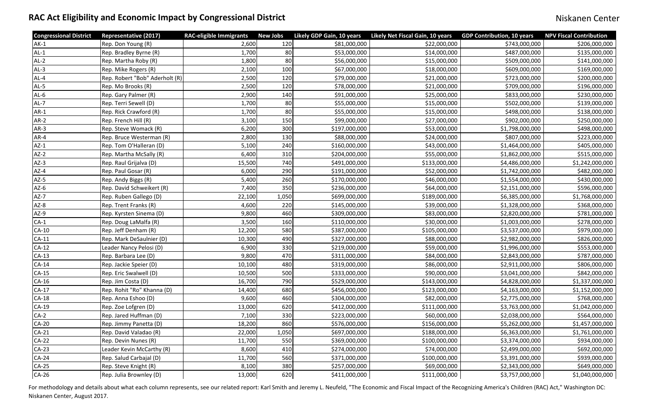For methodology and details about what each column represents, see our related report: Karl Smith and Jeremy L. Neufeld, "The Economic and Fiscal Impact of the Recognizing America's Children (RAC) Act," Washington DC: Niskanen Center, August 2017.

## RAC Act Eligibility and Economic Impact by Congressional District Niskanen Center Niskanen Center

| <b>Congressional District</b> | <b>Representative (2017)</b>   | <b>RAC-eligible Immigrants</b> | <b>New Jobs</b> | Likely GDP Gain, 10 years | Likely Net Fiscal Gain, 10 years | <b>GDP Contribution, 10 years</b> | <b>NPV Fiscal Contribution</b> |
|-------------------------------|--------------------------------|--------------------------------|-----------------|---------------------------|----------------------------------|-----------------------------------|--------------------------------|
| $AK-1$                        | Rep. Don Young (R)             | 2,600                          | 120             | \$81,000,000              | \$22,000,000                     | \$743,000,000                     | \$206,000,000                  |
| $AL-1$                        | Rep. Bradley Byrne (R)         | 1,700                          | 80              | \$53,000,000              | \$14,000,000                     | \$487,000,000                     | \$135,000,000                  |
| $AL-2$                        | Rep. Martha Roby (R)           | 1,800                          | 80              | \$56,000,000              | \$15,000,000                     | \$509,000,000                     | \$141,000,000                  |
| $AL-3$                        | Rep. Mike Rogers (R)           | 2,100                          | 100             | \$67,000,000              | \$18,000,000                     | \$609,000,000                     | \$169,000,000                  |
| $AL-4$                        | Rep. Robert "Bob" Aderholt (R) | 2,500                          | 120             | \$79,000,000              | \$21,000,000                     | \$723,000,000                     | \$200,000,000                  |
| $AL-5$                        | Rep. Mo Brooks (R)             | 2,500                          | 120             | \$78,000,000              | \$21,000,000                     | \$709,000,000                     | \$196,000,000                  |
| $AL-6$                        | Rep. Gary Palmer (R)           | 2,900                          | 140             | \$91,000,000              | \$25,000,000                     | \$833,000,000                     | \$230,000,000                  |
| $AL-7$                        | Rep. Terri Sewell (D)          | 1,700                          | 80              | \$55,000,000              | \$15,000,000                     | \$502,000,000                     | \$139,000,000                  |
| $AR-1$                        | Rep. Rick Crawford (R)         | 1,700                          | 80              | \$55,000,000              | \$15,000,000                     | \$498,000,000                     | \$138,000,000                  |
| AR-2                          | Rep. French Hill (R)           | 3,100                          | 150             | \$99,000,000              | \$27,000,000                     | \$902,000,000                     | \$250,000,000                  |
| $AR-3$                        | Rep. Steve Womack (R)          | 6,200                          | 300             | \$197,000,000             | \$53,000,000                     | \$1,798,000,000                   | \$498,000,000                  |
| AR-4                          | Rep. Bruce Westerman (R)       | 2,800                          | 130             | \$88,000,000              | \$24,000,000                     | \$807,000,000                     | \$223,000,000                  |
| $AZ-1$                        | Rep. Tom O'Halleran (D)        | 5,100                          | 240             | \$160,000,000             | \$43,000,000                     | \$1,464,000,000                   | \$405,000,000                  |
| $AZ-2$                        | Rep. Martha McSally (R)        | 6,400                          | 310             | \$204,000,000             | \$55,000,000                     | \$1,862,000,000                   | \$515,000,000                  |
| $AZ-3$                        | Rep. Raul Grijalva (D)         | 15,500                         | 740             | \$491,000,000             | \$133,000,000                    | \$4,486,000,000                   | \$1,242,000,000                |
| $AZ-4$                        | Rep. Paul Gosar (R)            | 6,000                          | 290             | \$191,000,000             | \$52,000,000                     | \$1,742,000,000                   | \$482,000,000                  |
| $AZ-5$                        | Rep. Andy Biggs (R)            | 5,400                          | 260             | \$170,000,000             | \$46,000,000                     | \$1,554,000,000                   | \$430,000,000                  |
| $AZ-6$                        | Rep. David Schweikert (R)      | 7,400                          | 350             | \$236,000,000             | \$64,000,000                     | \$2,151,000,000                   | \$596,000,000                  |
| $AZ-7$                        | Rep. Ruben Gallego (D)         | 22,100                         | 1,050           | \$699,000,000             | \$189,000,000                    | \$6,385,000,000                   | \$1,768,000,000                |
| $AZ-8$                        | Rep. Trent Franks (R)          | 4,600                          | 220             | \$145,000,000             | \$39,000,000                     | \$1,328,000,000                   | \$368,000,000                  |
| $AZ-9$                        | Rep. Kyrsten Sinema (D)        | 9,800                          | 460             | \$309,000,000             | \$83,000,000                     | \$2,820,000,000                   | \$781,000,000                  |
| $CA-1$                        | Rep. Doug LaMalfa (R)          | 3,500                          | 160             | \$110,000,000             | \$30,000,000                     | \$1,003,000,000                   | \$278,000,000                  |
| <b>CA-10</b>                  | Rep. Jeff Denham (R)           | 12,200                         | 580             | \$387,000,000             | \$105,000,000                    | \$3,537,000,000                   | \$979,000,000                  |
| $CA-11$                       | Rep. Mark DeSaulnier (D)       | 10,300                         | 490             | \$327,000,000             | \$88,000,000                     | \$2,982,000,000                   | \$826,000,000                  |
| $CA-12$                       | Leader Nancy Pelosi (D)        | 6,900                          | 330             | \$219,000,000             | \$59,000,000                     | \$1,996,000,000                   | \$553,000,000                  |
| $CA-13$                       | Rep. Barbara Lee (D)           | 9,800                          | 470             | \$311,000,000             | \$84,000,000                     | \$2,843,000,000                   | \$787,000,000                  |
| $CA-14$                       | Rep. Jackie Speier (D)         | 10,100                         | 480             | \$319,000,000             | \$86,000,000                     | \$2,911,000,000                   | \$806,000,000                  |
| $CA-15$                       | Rep. Eric Swalwell (D)         | 10,500                         | 500             | \$333,000,000             | \$90,000,000                     | \$3,041,000,000                   | \$842,000,000                  |
| $CA-16$                       | Rep. Jim Costa (D)             | 16,700                         | 790             | \$529,000,000             | \$143,000,000                    | \$4,828,000,000                   | \$1,337,000,000                |
| $CA-17$                       | Rep. Rohit "Ro" Khanna (D)     | 14,400                         | 680             | \$456,000,000             | \$123,000,000                    | \$4,163,000,000                   | \$1,152,000,000                |
| $CA-18$                       | Rep. Anna Eshoo (D)            | 9,600                          | 460             | \$304,000,000             | \$82,000,000                     | \$2,775,000,000                   | \$768,000,000                  |
| $CA-19$                       | Rep. Zoe Lofgren (D)           | 13,000                         | 620             | \$412,000,000             | \$111,000,000                    | \$3,763,000,000                   | \$1,042,000,000                |
| $CA-2$                        | Rep. Jared Huffman (D)         | 7,100                          | 330             | \$223,000,000             | \$60,000,000                     | \$2,038,000,000                   | \$564,000,000                  |
| <b>CA-20</b>                  | Rep. Jimmy Panetta (D)         | 18,200                         | 860             | \$576,000,000             | \$156,000,000                    | \$5,262,000,000                   | \$1,457,000,000                |
| $CA-21$                       | Rep. David Valadao (R)         | 22,000                         | 1,050           | \$697,000,000             | \$188,000,000                    | \$6,363,000,000                   | \$1,761,000,000                |
| $CA-22$                       | Rep. Devin Nunes (R)           | 11,700                         | 550             | \$369,000,000             | \$100,000,000                    | \$3,374,000,000                   | \$934,000,000                  |
| $CA-23$                       | Leader Kevin McCarthy (R)      | 8,600                          | 410             | \$274,000,000             | \$74,000,000                     | \$2,499,000,000                   | \$692,000,000                  |
| $CA-24$                       | Rep. Salud Carbajal (D)        | 11,700                         | 560             | \$371,000,000             | \$100,000,000                    | \$3,391,000,000                   | \$939,000,000                  |
| $CA-25$                       | Rep. Steve Knight (R)          | 8,100                          | 380             | \$257,000,000             | \$69,000,000                     | \$2,343,000,000                   | \$649,000,000                  |
| $CA-26$                       | Rep. Julia Brownley (D)        | 13,000                         | 620             | \$411,000,000             | \$111,000,000                    | \$3,757,000,000                   | \$1,040,000,000                |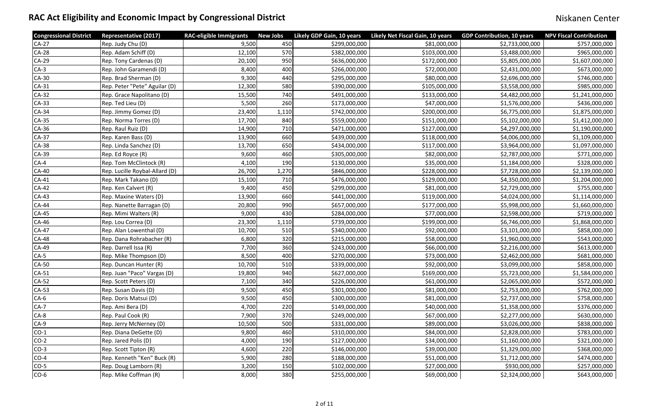| <b>Congressional District</b> | <b>Representative (2017)</b>   | <b>RAC-eligible Immigrants</b> | <b>New Jobs</b> | Likely GDP Gain, 10 years | Likely Net Fiscal Gain, 10 years | <b>GDP Contribution, 10 years</b> | <b>NPV Fiscal Contribution</b> |
|-------------------------------|--------------------------------|--------------------------------|-----------------|---------------------------|----------------------------------|-----------------------------------|--------------------------------|
| $CA-27$                       | Rep. Judy Chu (D)              | 9,500                          | 450             | \$299,000,000             | \$81,000,000                     | \$2,733,000,000                   | \$757,000,000                  |
| <b>CA-28</b>                  | Rep. Adam Schiff (D)           | 12,100                         | 570             | \$382,000,000             | \$103,000,000                    | \$3,488,000,000                   | \$965,000,000                  |
| <b>CA-29</b>                  | Rep. Tony Cardenas (D)         | 20,100                         | 950             | \$636,000,000             | \$172,000,000                    | \$5,805,000,000                   | \$1,607,000,000                |
| $CA-3$                        | Rep. John Garamendi (D)        | 8,400                          | 400             | \$266,000,000             | \$72,000,000                     | \$2,431,000,000                   | \$673,000,000                  |
| <b>CA-30</b>                  | Rep. Brad Sherman (D)          | 9,300                          | 440             | \$295,000,000             | \$80,000,000                     | \$2,696,000,000                   | \$746,000,000                  |
| $CA-31$                       | Rep. Peter "Pete" Aguilar (D)  | 12,300                         | 580             | \$390,000,000             | \$105,000,000                    | \$3,558,000,000                   | \$985,000,000                  |
| $CA-32$                       | Rep. Grace Napolitano (D)      | 15,500                         | 740             | \$491,000,000             | \$133,000,000                    | \$4,482,000,000                   | \$1,241,000,000                |
| $CA-33$                       | Rep. Ted Lieu (D)              | 5,500                          | 260             | \$173,000,000             | \$47,000,000                     | \$1,576,000,000                   | \$436,000,000                  |
| <b>CA-34</b>                  | Rep. Jimmy Gomez (D)           | 23,400                         | 1,110           | \$742,000,000             | \$200,000,000                    | \$6,775,000,000                   | \$1,875,000,000                |
| <b>CA-35</b>                  | Rep. Norma Torres (D)          | 17,700                         | 840             | \$559,000,000             | \$151,000,000                    | \$5,102,000,000                   | \$1,412,000,000                |
| CA-36                         | Rep. Raul Ruiz (D)             | 14,900                         | 710             | \$471,000,000             | \$127,000,000                    | \$4,297,000,000                   | \$1,190,000,000                |
| <b>CA-37</b>                  | Rep. Karen Bass (D)            | 13,900                         | 660             | \$439,000,000             | \$118,000,000                    | \$4,006,000,000                   | \$1,109,000,000                |
| <b>CA-38</b>                  | Rep. Linda Sanchez (D)         | 13,700                         | 650             | \$434,000,000             | \$117,000,000                    | \$3,964,000,000                   | \$1,097,000,000                |
| CA-39                         | Rep. Ed Royce (R)              | 9,600                          | 460             | \$305,000,000             | \$82,000,000                     | \$2,787,000,000                   | \$771,000,000                  |
| $CA-4$                        | <b>Rep. Tom McClintock (R)</b> | 4,100                          | 190             | \$130,000,000             | \$35,000,000                     | \$1,184,000,000                   | \$328,000,000                  |
| <b>CA-40</b>                  | Rep. Lucille Roybal-Allard (D) | 26,700                         | 1,270           | \$846,000,000             | \$228,000,000                    | \$7,728,000,000                   | \$2,139,000,000                |
| $CA-41$                       | Rep. Mark Takano (D)           | 15,100                         | 710             | \$476,000,000             | \$129,000,000                    | \$4,350,000,000                   | \$1,204,000,000                |
| $CA-42$                       | Rep. Ken Calvert (R)           | 9,400                          | 450             | \$299,000,000             | \$81,000,000                     | \$2,729,000,000                   | \$755,000,000                  |
| $CA-43$                       | Rep. Maxine Waters (D)         | 13,900                         | 660             | \$441,000,000             | \$119,000,000                    | \$4,024,000,000                   | \$1,114,000,000                |
| <b>CA-44</b>                  | Rep. Nanette Barragan (D)      | 20,800                         | 990             | \$657,000,000             | \$177,000,000                    | \$5,998,000,000                   | \$1,660,000,000                |
| <b>CA-45</b>                  | Rep. Mimi Walters (R)          | 9,000                          | 430             | \$284,000,000             | \$77,000,000                     | \$2,598,000,000                   | \$719,000,000                  |
| CA-46                         | Rep. Lou Correa (D)            | 23,300                         | 1,110           | \$739,000,000             | \$199,000,000                    | \$6,746,000,000                   | \$1,868,000,000                |
| CA-47                         | Rep. Alan Lowenthal (D)        | 10,700                         | 510             | \$340,000,000             | \$92,000,000                     | \$3,101,000,000                   | \$858,000,000                  |
| <b>CA-48</b>                  | Rep. Dana Rohrabacher (R)      | 6,800                          | 320             | \$215,000,000             | \$58,000,000                     | \$1,960,000,000                   | \$543,000,000                  |
| CA-49                         | Rep. Darrell Issa (R)          | 7,700                          | 360             | \$243,000,000             | \$66,000,000                     | \$2,216,000,000                   | \$613,000,000                  |
| $CA-5$                        | Rep. Mike Thompson (D)         | 8,500                          | 400             | \$270,000,000             | \$73,000,000                     | \$2,462,000,000                   | \$681,000,000                  |
| <b>CA-50</b>                  | Rep. Duncan Hunter (R)         | 10,700                         | 510             | \$339,000,000             | \$92,000,000                     | \$3,099,000,000                   | \$858,000,000                  |
| $CA-51$                       | Rep. Juan "Paco" Vargas (D)    | 19,800                         | 940             | \$627,000,000             | \$169,000,000                    | \$5,723,000,000                   | \$1,584,000,000                |
| <b>CA-52</b>                  | Rep. Scott Peters (D)          | 7,100                          | 340             | \$226,000,000             | \$61,000,000                     | \$2,065,000,000                   | \$572,000,000                  |
| CA-53                         | Rep. Susan Davis (D)           | 9,500                          | 450             | \$301,000,000             | \$81,000,000                     | \$2,753,000,000                   | \$762,000,000                  |
| $CA-6$                        | Rep. Doris Matsui (D)          | 9,500                          | 450             | \$300,000,000             | \$81,000,000                     | \$2,737,000,000                   | \$758,000,000                  |
| $CA-7$                        | Rep. Ami Bera (D)              | 4,700                          | 220             | \$149,000,000             | \$40,000,000                     | \$1,358,000,000                   | \$376,000,000                  |
| $CA-8$                        | Rep. Paul Cook (R)             | 7,900                          | 370             | \$249,000,000             | \$67,000,000                     | \$2,277,000,000                   | \$630,000,000                  |
| $CA-9$                        | Rep. Jerry McNerney (D)        | 10,500                         | 500             | \$331,000,000             | \$89,000,000                     | \$3,026,000,000                   | \$838,000,000                  |
| $CO-1$                        | Rep. Diana DeGette (D)         | 9,800                          | 460             | \$310,000,000             | \$84,000,000                     | \$2,828,000,000                   | \$783,000,000                  |
| $CO-2$                        | Rep. Jared Polis (D)           | 4,000                          | 190             | \$127,000,000             | \$34,000,000                     | \$1,160,000,000                   | \$321,000,000                  |
| $CO-3$                        | Rep. Scott Tipton (R)          | 4,600                          | 220             | \$146,000,000             | \$39,000,000                     | \$1,329,000,000                   | \$368,000,000                  |
| $CO-4$                        | Rep. Kenneth "Ken" Buck (R)    | 5,900                          | 280             | \$188,000,000             | \$51,000,000                     | \$1,712,000,000                   | \$474,000,000                  |
| $CO-5$                        | Rep. Doug Lamborn (R)          | 3,200                          | 150             | \$102,000,000             | \$27,000,000                     | \$930,000,000                     | \$257,000,000                  |
| $CO-6$                        | Rep. Mike Coffman (R)          | 8,000                          | 380             | \$255,000,000             | \$69,000,000                     | \$2,324,000,000                   | \$643,000,000                  |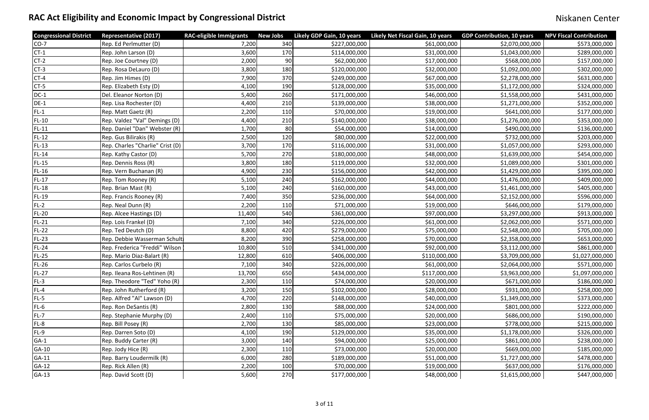| <b>Congressional District</b> | <b>Representative (2017)</b>     | <b>RAC-eligible Immigrants</b> | <b>New Jobs</b> | Likely GDP Gain, 10 years | Likely Net Fiscal Gain, 10 years | <b>GDP Contribution, 10 years</b> | <b>NPV Fiscal Contribution</b> |
|-------------------------------|----------------------------------|--------------------------------|-----------------|---------------------------|----------------------------------|-----------------------------------|--------------------------------|
| $CO-7$                        | Rep. Ed Perlmutter (D)           | 7,200                          | 340             | \$227,000,000             | \$61,000,000                     | \$2,070,000,000                   | \$573,000,000                  |
| $CT-1$                        | Rep. John Larson (D)             | 3,600                          | 170             | \$114,000,000             | \$31,000,000                     | \$1,043,000,000                   | \$289,000,000                  |
| $CT-2$                        | Rep. Joe Courtney (D)            | 2,000                          | 90              | \$62,000,000              | \$17,000,000                     | \$568,000,000                     | \$157,000,000                  |
| $CT-3$                        | Rep. Rosa DeLauro (D)            | 3,800                          | 180             | \$120,000,000             | \$32,000,000                     | \$1,092,000,000                   | \$302,000,000                  |
| $CT-4$                        | Rep. Jim Himes (D)               | 7,900                          | 370             | \$249,000,000             | \$67,000,000                     | \$2,278,000,000                   | \$631,000,000                  |
| $CT-5$                        | Rep. Elizabeth Esty (D)          | 4,100                          | 190             | \$128,000,000             | \$35,000,000                     | \$1,172,000,000                   | \$324,000,000                  |
| $DC-1$                        | Del. Eleanor Norton (D)          | 5,400                          | 260             | \$171,000,000             | \$46,000,000                     | \$1,558,000,000                   | \$431,000,000                  |
| $DE-1$                        | Rep. Lisa Rochester (D)          | 4,400                          | 210             | \$139,000,000             | \$38,000,000                     | \$1,271,000,000                   | \$352,000,000                  |
| $FL-1$                        | Rep. Matt Gaetz (R)              | 2,200                          | 110             | \$70,000,000              | \$19,000,000                     | \$641,000,000                     | \$177,000,000                  |
| <b>FL-10</b>                  | Rep. Valdez "Val" Demings (D)    | 4,400                          | 210             | \$140,000,000             | \$38,000,000                     | \$1,276,000,000                   | \$353,000,000                  |
| $FL-11$                       | Rep. Daniel "Dan" Webster (R)    | 1,700                          | 80              | \$54,000,000              | \$14,000,000                     | \$490,000,000                     | \$136,000,000                  |
| $FL-12$                       | Rep. Gus Bilirakis (R)           | 2,500                          | 120             | \$80,000,000              | \$22,000,000                     | \$732,000,000                     | \$203,000,000                  |
| $FL-13$                       | Rep. Charles "Charlie" Crist (D) | 3,700                          | 170             | \$116,000,000             | \$31,000,000                     | \$1,057,000,000                   | \$293,000,000                  |
| $FL-14$                       | Rep. Kathy Castor (D)            | 5,700                          | 270             | \$180,000,000             | \$48,000,000                     | \$1,639,000,000                   | \$454,000,000                  |
| $FL-15$                       | Rep. Dennis Ross (R)             | 3,800                          | 180             | \$119,000,000             | \$32,000,000                     | \$1,089,000,000                   | \$301,000,000                  |
| $FL-16$                       | Rep. Vern Buchanan (R)           | 4,900                          | 230             | \$156,000,000             | \$42,000,000                     | \$1,429,000,000                   | \$395,000,000                  |
| FL-17                         | Rep. Tom Rooney (R)              | 5,100                          | 240             | \$162,000,000             | \$44,000,000                     | \$1,476,000,000                   | \$409,000,000                  |
| $FL-18$                       | Rep. Brian Mast (R)              | 5,100                          | 240             | \$160,000,000             | \$43,000,000                     | \$1,461,000,000                   | \$405,000,000                  |
| $FL-19$                       | Rep. Francis Rooney (R)          | 7,400                          | 350             | \$236,000,000             | \$64,000,000                     | \$2,152,000,000                   | \$596,000,000                  |
| $FL-2$                        | Rep. Neal Dunn (R)               | 2,200                          | 110             | \$71,000,000              | \$19,000,000                     | \$646,000,000                     | \$179,000,000                  |
| FL-20                         | Rep. Alcee Hastings (D)          | 11,400                         | 540             | \$361,000,000             | \$97,000,000                     | \$3,297,000,000                   | \$913,000,000                  |
| FL-21                         | Rep. Lois Frankel (D)            | 7,100                          | 340             | \$226,000,000             | \$61,000,000                     | \$2,062,000,000                   | \$571,000,000                  |
| <b>FL-22</b>                  | Rep. Ted Deutch (D)              | 8,800                          | 420             | \$279,000,000             | \$75,000,000                     | \$2,548,000,000                   | \$705,000,000                  |
| $FL-23$                       | Rep. Debbie Wasserman Schult     | 8,200                          | 390             | \$258,000,000             | \$70,000,000                     | \$2,358,000,000                   | \$653,000,000                  |
| $FL-24$                       | Rep. Frederica "Freddi" Wilson   | 10,800                         | 510             | \$341,000,000             | \$92,000,000                     | \$3,112,000,000                   | \$861,000,000                  |
| $FL-25$                       | Rep. Mario Diaz-Balart (R)       | 12,800                         | 610             | \$406,000,000             | \$110,000,000                    | \$3,709,000,000                   | \$1,027,000,000                |
| $FL-26$                       | Rep. Carlos Curbelo (R)          | 7,100                          | 340             | \$226,000,000             | \$61,000,000                     | \$2,064,000,000                   | \$571,000,000                  |
| $FL-27$                       | Rep. Ileana Ros-Lehtinen (R)     | 13,700                         | 650             | \$434,000,000             | \$117,000,000                    | \$3,963,000,000                   | \$1,097,000,000                |
| $FL-3$                        | Rep. Theodore "Ted" Yoho (R)     | 2,300                          | 110             | \$74,000,000              | \$20,000,000                     | \$671,000,000                     | \$186,000,000                  |
| FL-4                          | Rep. John Rutherford (R)         | 3,200                          | 150             | \$102,000,000             | \$28,000,000                     | \$931,000,000                     | \$258,000,000                  |
| FL-5                          | Rep. Alfred "Al" Lawson (D)      | 4,700                          | 220             | \$148,000,000             | \$40,000,000                     | \$1,349,000,000                   | \$373,000,000                  |
| $FL-6$                        | Rep. Ron DeSantis (R)            | 2,800                          | 130             | \$88,000,000              | \$24,000,000                     | \$801,000,000                     | \$222,000,000                  |
| $FL-7$                        | Rep. Stephanie Murphy (D)        | 2,400                          | 110             | \$75,000,000              | \$20,000,000                     | \$686,000,000                     | \$190,000,000                  |
| FL-8                          | Rep. Bill Posey (R)              | 2,700                          | 130             | \$85,000,000              | \$23,000,000                     | \$778,000,000                     | \$215,000,000                  |
| $FL-9$                        | Rep. Darren Soto (D)             | 4,100                          | 190             | \$129,000,000             | \$35,000,000                     | \$1,178,000,000                   | \$326,000,000                  |
| $GA-1$                        | Rep. Buddy Carter (R)            | 3,000                          | 140             | \$94,000,000              | \$25,000,000                     | \$861,000,000                     | \$238,000,000                  |
| GA-10                         | Rep. Jody Hice (R)               | 2,300                          | 110             | \$73,000,000              | \$20,000,000                     | \$669,000,000                     | \$185,000,000                  |
| GA-11                         | Rep. Barry Loudermilk (R)        | 6,000                          | 280             | \$189,000,000             | \$51,000,000                     | \$1,727,000,000                   | \$478,000,000                  |
| $GA-12$                       | Rep. Rick Allen (R)              | 2,200                          | 100             | \$70,000,000              | \$19,000,000                     | \$637,000,000                     | \$176,000,000                  |
| $GA-13$                       | Rep. David Scott (D)             | 5,600                          | 270             | \$177,000,000             | \$48,000,000                     | \$1,615,000,000                   | \$447,000,000                  |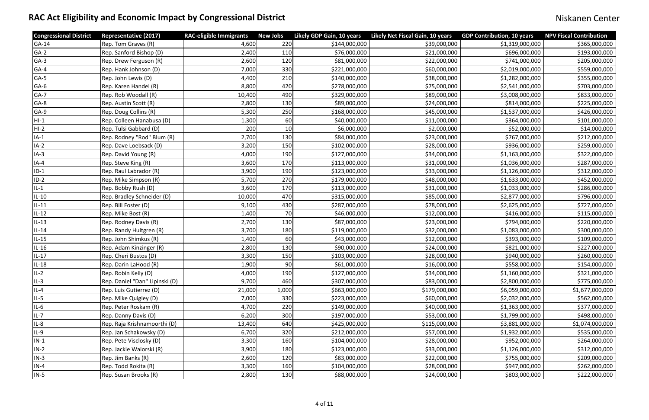| <b>Congressional District</b> | <b>Representative (2017)</b>   | <b>RAC-eligible Immigrants</b> | <b>New Jobs</b> | Likely GDP Gain, 10 years | Likely Net Fiscal Gain, 10 years | <b>GDP Contribution, 10 years</b> | <b>NPV Fiscal Contribution</b> |
|-------------------------------|--------------------------------|--------------------------------|-----------------|---------------------------|----------------------------------|-----------------------------------|--------------------------------|
| GA-14                         | Rep. Tom Graves (R)            | 4,600                          | 220             | \$144,000,000             | \$39,000,000                     | \$1,319,000,000                   | \$365,000,000                  |
| $GA-2$                        | Rep. Sanford Bishop (D)        | 2,400                          | 110             | \$76,000,000              | \$21,000,000                     | \$696,000,000                     | \$193,000,000                  |
| $GA-3$                        | Rep. Drew Ferguson (R)         | 2,600                          | 120             | \$81,000,000              | \$22,000,000                     | \$741,000,000                     | \$205,000,000                  |
| GA-4                          | Rep. Hank Johnson (D)          | 7,000                          | 330             | \$221,000,000             | \$60,000,000                     | \$2,019,000,000                   | \$559,000,000                  |
| $GA-5$                        | Rep. John Lewis (D)            | 4,400                          | 210             | \$140,000,000             | \$38,000,000                     | \$1,282,000,000                   | \$355,000,000                  |
| GA-6                          | Rep. Karen Handel (R)          | 8,800                          | 420             | \$278,000,000             | \$75,000,000                     | \$2,541,000,000                   | \$703,000,000                  |
| GA-7                          | Rep. Rob Woodall (R)           | 10,400                         | 490             | \$329,000,000             | \$89,000,000                     | \$3,008,000,000                   | \$833,000,000                  |
| $GA-8$                        | Rep. Austin Scott (R)          | 2,800                          | 130             | \$89,000,000              | \$24,000,000                     | \$814,000,000                     | \$225,000,000                  |
| GA-9                          | Rep. Doug Collins (R)          | 5,300                          | 250             | \$168,000,000             | \$45,000,000                     | \$1,537,000,000                   | \$426,000,000                  |
| HI-1                          | Rep. Colleen Hanabusa (D)      | 1,300                          | 60              | \$40,000,000              | \$11,000,000                     | \$364,000,000                     | \$101,000,000                  |
| $HI-2$                        | Rep. Tulsi Gabbard (D)         | 200                            | 10              | \$6,000,000               | \$2,000,000                      | \$52,000,000                      | \$14,000,000                   |
| $IA-1$                        | Rep. Rodney "Rod" Blum (R)     | 2,700                          | 130             | \$84,000,000              | \$23,000,000                     | \$767,000,000                     | \$212,000,000                  |
| $IA-2$                        | Rep. Dave Loebsack (D)         | 3,200                          | 150             | \$102,000,000             | \$28,000,000                     | \$936,000,000                     | \$259,000,000                  |
| $IA-3$                        | Rep. David Young (R)           | 4,000                          | 190             | \$127,000,000             | \$34,000,000                     | \$1,163,000,000                   | \$322,000,000                  |
| $IA-4$                        | Rep. Steve King (R)            | 3,600                          | 170             | \$113,000,000             | \$31,000,000                     | \$1,036,000,000                   | \$287,000,000                  |
| $ID-1$                        | Rep. Raul Labrador (R)         | 3,900                          | 190             | \$123,000,000             | \$33,000,000                     | \$1,126,000,000                   | \$312,000,000                  |
| $ID-2$                        | Rep. Mike Simpson (R)          | 5,700                          | 270             | \$179,000,000             | \$48,000,000                     | \$1,633,000,000                   | \$452,000,000                  |
| $IL-1$                        | Rep. Bobby Rush (D)            | 3,600                          | 170             | \$113,000,000             | \$31,000,000                     | \$1,033,000,000                   | \$286,000,000                  |
| IL-10                         | Rep. Bradley Schneider (D)     | 10,000                         | 470             | \$315,000,000             | \$85,000,000                     | \$2,877,000,000                   | \$796,000,000                  |
| $IL-11$                       | Rep. Bill Foster (D)           | 9,100                          | 430             | \$287,000,000             | \$78,000,000                     | \$2,625,000,000                   | \$727,000,000                  |
| $IL-12$                       | Rep. Mike Bost (R)             | 1,400                          | 70              | \$46,000,000              | \$12,000,000                     | \$416,000,000                     | \$115,000,000                  |
| $IL-13$                       | Rep. Rodney Davis (R)          | 2,700                          | 130             | \$87,000,000              | \$23,000,000                     | \$794,000,000                     | \$220,000,000                  |
| $IL-14$                       | Rep. Randy Hultgren (R)        | 3,700                          | 180             | \$119,000,000             | \$32,000,000                     | \$1,083,000,000                   | \$300,000,000                  |
| $IL-15$                       | Rep. John Shimkus (R)          | 1,400                          | 60              | \$43,000,000              | \$12,000,000                     | \$393,000,000                     | \$109,000,000                  |
| $IL-16$                       | Rep. Adam Kinzinger (R)        | 2,800                          | 130             | \$90,000,000              | \$24,000,000                     | \$821,000,000                     | \$227,000,000                  |
| $IL-17$                       | Rep. Cheri Bustos (D)          | 3,300                          | 150             | \$103,000,000             | \$28,000,000                     | \$940,000,000                     | \$260,000,000                  |
| IL-18                         | Rep. Darin LaHood (R)          | 1,900                          | 90              | \$61,000,000              | \$16,000,000                     | \$558,000,000                     | \$154,000,000                  |
| $IL-2$                        | Rep. Robin Kelly (D)           | 4,000                          | 190             | \$127,000,000             | \$34,000,000                     | \$1,160,000,000                   | \$321,000,000                  |
| $IL-3$                        | Rep. Daniel "Dan" Lipinski (D) | 9,700                          | 460             | \$307,000,000             | \$83,000,000                     | \$2,800,000,000                   | \$775,000,000                  |
| $IL-4$                        | Rep. Luis Gutierrez (D)        | 21,000                         | 1,000           | \$663,000,000             | \$179,000,000                    | \$6,059,000,000                   | \$1,677,000,000                |
| $IL-5$                        | Rep. Mike Quigley (D)          | 7,000                          | 330             | \$223,000,000             | \$60,000,000                     | \$2,032,000,000                   | \$562,000,000                  |
| $IL-6$                        | Rep. Peter Roskam (R)          | 4,700                          | 220             | \$149,000,000             | \$40,000,000                     | \$1,363,000,000                   | \$377,000,000                  |
| $IL-7$                        | Rep. Danny Davis (D)           | 6,200                          | 300             | \$197,000,000             | \$53,000,000                     | \$1,799,000,000                   | \$498,000,000                  |
| $IL-8$                        | Rep. Raja Krishnamoorthi (D)   | 13,400                         | 640             | \$425,000,000             | \$115,000,000                    | \$3,881,000,000                   | \$1,074,000,000                |
| $IL-9$                        | Rep. Jan Schakowsky (D)        | 6,700                          | 320             | \$212,000,000             | \$57,000,000                     | \$1,932,000,000                   | \$535,000,000                  |
| $IN-1$                        | Rep. Pete Visclosky (D)        | 3,300                          | 160             | \$104,000,000             | \$28,000,000                     | \$952,000,000                     | \$264,000,000                  |
| $IN-2$                        | Rep. Jackie Walorski (R)       | 3,900                          | 180             | \$123,000,000             | \$33,000,000                     | \$1,126,000,000                   | \$312,000,000                  |
| $IN-3$                        | Rep. Jim Banks (R)             | 2,600                          | 120             | \$83,000,000              | \$22,000,000                     | \$755,000,000                     | \$209,000,000                  |
| $IN-4$                        | Rep. Todd Rokita (R)           | 3,300                          | 160             | \$104,000,000             | \$28,000,000                     | \$947,000,000                     | \$262,000,000                  |
| $IN-5$                        | Rep. Susan Brooks (R)          | 2,800                          | 130             | \$88,000,000              | \$24,000,000                     | \$803,000,000                     | \$222,000,000                  |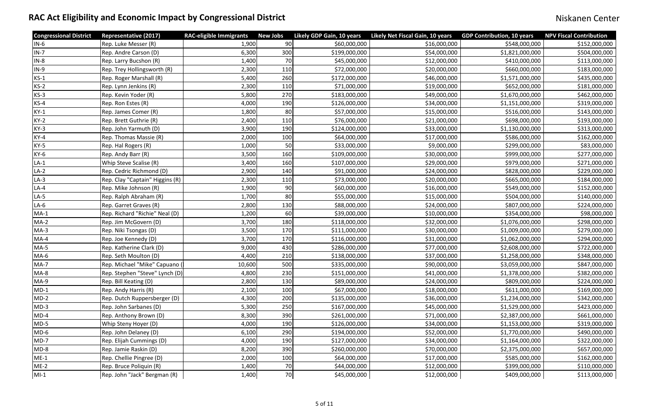| <b>Congressional District</b> | <b>Representative (2017)</b>    | <b>RAC-eligible Immigrants</b> | <b>New Jobs</b> | Likely GDP Gain, 10 years | Likely Net Fiscal Gain, 10 years | <b>GDP Contribution, 10 years</b> | <b>NPV Fiscal Contribution</b> |
|-------------------------------|---------------------------------|--------------------------------|-----------------|---------------------------|----------------------------------|-----------------------------------|--------------------------------|
| $IN-6$                        | Rep. Luke Messer (R)            | 1,900                          | 90              | \$60,000,000              | \$16,000,000                     | \$548,000,000                     | \$152,000,000                  |
| $IN-7$                        | Rep. Andre Carson (D)           | 6,300                          | 300             | \$199,000,000             | \$54,000,000                     | \$1,821,000,000                   | \$504,000,000                  |
| $IN-8$                        | Rep. Larry Bucshon (R)          | 1,400                          | 70              | \$45,000,000              | \$12,000,000                     | \$410,000,000                     | \$113,000,000                  |
| $IN-9$                        | Rep. Trey Hollingsworth (R)     | 2,300                          | 110             | \$72,000,000              | \$20,000,000                     | \$660,000,000                     | \$183,000,000                  |
| $KS-1$                        | Rep. Roger Marshall (R)         | 5,400                          | 260             | \$172,000,000             | \$46,000,000                     | \$1,571,000,000                   | \$435,000,000                  |
| $KS-2$                        | Rep. Lynn Jenkins (R)           | 2,300                          | 110             | \$71,000,000              | \$19,000,000                     | \$652,000,000                     | \$181,000,000                  |
| $KS-3$                        | Rep. Kevin Yoder (R)            | 5,800                          | 270             | \$183,000,000             | \$49,000,000                     | \$1,670,000,000                   | \$462,000,000                  |
| $KS-4$                        | Rep. Ron Estes (R)              | 4,000                          | 190             | \$126,000,000             | \$34,000,000                     | \$1,151,000,000                   | \$319,000,000                  |
| $KY-1$                        | Rep. James Comer (R)            | 1,800                          | 80              | \$57,000,000              | \$15,000,000                     | \$516,000,000                     | \$143,000,000                  |
| $KY-2$                        | Rep. Brett Guthrie (R)          | 2,400                          | 110             | \$76,000,000              | \$21,000,000                     | \$698,000,000                     | \$193,000,000                  |
| $KY-3$                        | Rep. John Yarmuth (D)           | 3,900                          | 190             | \$124,000,000             | \$33,000,000                     | \$1,130,000,000                   | \$313,000,000                  |
| $KY-4$                        | Rep. Thomas Massie (R)          | 2,000                          | 100             | \$64,000,000              | \$17,000,000                     | \$586,000,000                     | \$162,000,000                  |
| $KY-5$                        | Rep. Hal Rogers (R)             | 1,000                          | 50              | \$33,000,000              | \$9,000,000                      | \$299,000,000                     | \$83,000,000                   |
| $KY-6$                        | Rep. Andy Barr (R)              | 3,500                          | 160             | \$109,000,000             | \$30,000,000                     | \$999,000,000                     | \$277,000,000                  |
| $LA-1$                        | <b>Whip Steve Scalise (R)</b>   | 3,400                          | 160             | \$107,000,000             | \$29,000,000                     | \$979,000,000                     | \$271,000,000                  |
| $LA-2$                        | Rep. Cedric Richmond (D)        | 2,900                          | 140             | \$91,000,000              | \$24,000,000                     | \$828,000,000                     | \$229,000,000                  |
| $LA-3$                        | Rep. Clay "Captain" Higgins (R) | 2,300                          | 110             | \$73,000,000              | \$20,000,000                     | \$665,000,000                     | \$184,000,000                  |
| $LA-4$                        | Rep. Mike Johnson (R)           | 1,900                          | 90              | \$60,000,000              | \$16,000,000                     | \$549,000,000                     | \$152,000,000                  |
| $LA-5$                        | Rep. Ralph Abraham (R)          | 1,700                          | 80              | \$55,000,000              | \$15,000,000                     | \$504,000,000                     | \$140,000,000                  |
| $LA-6$                        | Rep. Garret Graves (R)          | 2,800                          | 130             | \$88,000,000              | \$24,000,000                     | \$807,000,000                     | \$224,000,000                  |
| $MA-1$                        | Rep. Richard "Richie" Neal (D)  | 1,200                          | 60              | \$39,000,000              | \$10,000,000                     | \$354,000,000                     | \$98,000,000                   |
| $MA-2$                        | Rep. Jim McGovern (D)           | 3,700                          | 180             | \$118,000,000             | \$32,000,000                     | \$1,076,000,000                   | \$298,000,000                  |
| $MA-3$                        | Rep. Niki Tsongas (D)           | 3,500                          | 170             | \$111,000,000             | \$30,000,000                     | \$1,009,000,000                   | \$279,000,000                  |
| $MA-4$                        | Rep. Joe Kennedy (D)            | 3,700                          | 170             | \$116,000,000             | \$31,000,000                     | \$1,062,000,000                   | \$294,000,000                  |
| $MA-5$                        | Rep. Katherine Clark (D)        | 9,000                          | 430             | \$286,000,000             | \$77,000,000                     | \$2,608,000,000                   | \$722,000,000                  |
| $MA-6$                        | Rep. Seth Moulton (D)           | 4,400                          | 210             | \$138,000,000             | \$37,000,000                     | \$1,258,000,000                   | \$348,000,000                  |
| $MA-7$                        | Rep. Michael "Mike" Capuano (   | 10,600                         | 500             | \$335,000,000             | \$90,000,000                     | \$3,059,000,000                   | \$847,000,000                  |
| $MA-8$                        | Rep. Stephen "Steve" Lynch (D)  | 4,800                          | 230             | \$151,000,000             | \$41,000,000                     | \$1,378,000,000                   | \$382,000,000                  |
| $MA-9$                        | Rep. Bill Keating (D)           | 2,800                          | 130             | \$89,000,000              | \$24,000,000                     | \$809,000,000                     | \$224,000,000                  |
| $MD-1$                        | Rep. Andy Harris (R)            | 2,100                          | 100             | \$67,000,000              | \$18,000,000                     | \$611,000,000                     | \$169,000,000                  |
| $MD-2$                        | Rep. Dutch Ruppersberger (D)    | 4,300                          | 200             | \$135,000,000             | \$36,000,000                     | \$1,234,000,000                   | \$342,000,000                  |
| $MD-3$                        | Rep. John Sarbanes (D)          | 5,300                          | 250             | \$167,000,000             | \$45,000,000                     | \$1,529,000,000                   | \$423,000,000                  |
| $MD-4$                        | Rep. Anthony Brown (D)          | 8,300                          | 390             | \$261,000,000             | \$71,000,000                     | \$2,387,000,000                   | \$661,000,000                  |
| $MD-5$                        | Whip Steny Hoyer (D)            | 4,000                          | 190             | \$126,000,000             | \$34,000,000                     | \$1,153,000,000                   | \$319,000,000                  |
| $MD-6$                        | Rep. John Delaney (D)           | 6,100                          | 290             | \$194,000,000             | \$52,000,000                     | \$1,770,000,000                   | \$490,000,000                  |
| $MD-7$                        | Rep. Elijah Cummings (D)        | 4,000                          | 190             | \$127,000,000             | \$34,000,000                     | \$1,164,000,000                   | \$322,000,000                  |
| $MD-8$                        | Rep. Jamie Raskin (D)           | 8,200                          | 390             | \$260,000,000             | \$70,000,000                     | \$2,375,000,000                   | \$657,000,000                  |
| $ME-1$                        | Rep. Chellie Pingree (D)        | 2,000                          | 100             | \$64,000,000              | \$17,000,000                     | \$585,000,000                     | \$162,000,000                  |
| $ME-2$                        | Rep. Bruce Poliquin (R)         | 1,400                          | 70              | \$44,000,000              | \$12,000,000                     | \$399,000,000                     | \$110,000,000                  |
| $MI-1$                        | Rep. John "Jack" Bergman (R)    | 1,400                          | 70              | \$45,000,000              | \$12,000,000                     | \$409,000,000                     | \$113,000,000                  |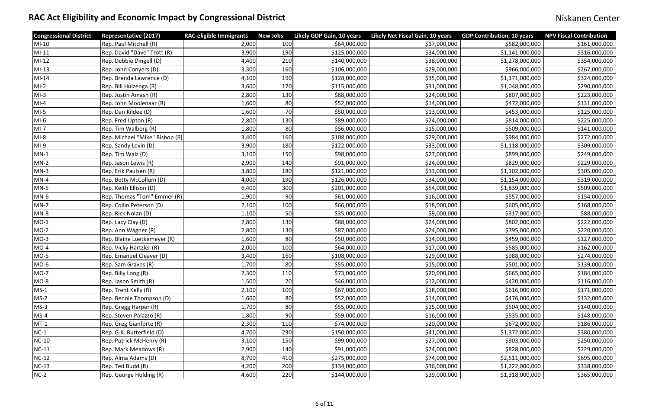| <b>Congressional District</b> | <b>Representative (2017)</b>   | <b>RAC-eligible Immigrants</b> | <b>New Jobs</b> | Likely GDP Gain, 10 years | <b>Likely Net Fiscal Gain, 10 years</b> | <b>GDP Contribution, 10 years</b> | <b>NPV Fiscal Contribution</b> |
|-------------------------------|--------------------------------|--------------------------------|-----------------|---------------------------|-----------------------------------------|-----------------------------------|--------------------------------|
| $MI-10$                       | Rep. Paul Mitchell (R)         | 2,000                          | 100             | \$64,000,000              | \$17,000,000                            | \$582,000,000                     | \$161,000,000                  |
| $MI-11$                       | Rep. David "Dave" Trott (R)    | 3,900                          | 190             | \$125,000,000             | \$34,000,000                            | \$1,141,000,000                   | \$316,000,000                  |
| $MI-12$                       | Rep. Debbie Dingell (D)        | 4,400                          | 210             | \$140,000,000             | \$38,000,000                            | \$1,278,000,000                   | \$354,000,000                  |
| $MI-13$                       | Rep. John Conyers (D)          | 3,300                          | 160             | \$106,000,000             | \$29,000,000                            | \$966,000,000                     | \$267,000,000                  |
| $MI-14$                       | Rep. Brenda Lawrence (D)       | 4,100                          | 190             | \$128,000,000             | \$35,000,000                            | \$1,171,000,000                   | \$324,000,000                  |
| $MI-2$                        | Rep. Bill Huizenga (R)         | 3,600                          | 170             | \$115,000,000             | \$31,000,000                            | \$1,048,000,000                   | \$290,000,000                  |
| $MI-3$                        | Rep. Justin Amash (R)          | 2,800                          | 130             | \$88,000,000              | \$24,000,000                            | \$807,000,000                     | \$223,000,000                  |
| $MI-4$                        | Rep. John Moolenaar (R)        | 1,600                          | 80              | \$52,000,000              | \$14,000,000                            | \$472,000,000                     | \$131,000,000                  |
| $MI-5$                        | Rep. Dan Kildee (D)            | 1,600                          | 70              | \$50,000,000              | \$13,000,000                            | \$453,000,000                     | \$125,000,000                  |
| $MI-6$                        | Rep. Fred Upton (R)            | 2,800                          | 130             | \$89,000,000              | \$24,000,000                            | \$814,000,000                     | \$225,000,000                  |
| $MI-7$                        | Rep. Tim Walberg (R)           | 1,800                          | 80              | \$56,000,000              | \$15,000,000                            | \$509,000,000                     | \$141,000,000                  |
| $MI-8$                        | Rep. Michael "Mike" Bishop (R) | 3,400                          | 160             | \$108,000,000             | \$29,000,000                            | \$984,000,000                     | \$272,000,000                  |
| $MI-9$                        | Rep. Sandy Levin (D)           | 3,900                          | 180             | \$122,000,000             | \$33,000,000                            | \$1,118,000,000                   | \$309,000,000                  |
| $MN-1$                        | Rep. Tim Walz (D)              | 3,100                          | 150             | \$98,000,000              | \$27,000,000                            | \$899,000,000                     | \$249,000,000                  |
| $MN-2$                        | Rep. Jason Lewis (R)           | 2,900                          | 140             | \$91,000,000              | \$24,000,000                            | \$829,000,000                     | \$229,000,000                  |
| $MN-3$                        | Rep. Erik Paulsen (R)          | 3,800                          | 180             | \$121,000,000             | \$33,000,000                            | \$1,102,000,000                   | \$305,000,000                  |
| $MN-4$                        | Rep. Betty McCollum (D)        | 4,000                          | 190             | \$126,000,000             | \$34,000,000                            | \$1,154,000,000                   | \$319,000,000                  |
| $MN-5$                        | Rep. Keith Ellison (D)         | 6,400                          | 300             | \$201,000,000             | \$54,000,000                            | \$1,839,000,000                   | \$509,000,000                  |
| $MN-6$                        | Rep. Thomas "Tom" Emmer (R)    | 1,900                          | 90              | \$61,000,000              | \$16,000,000                            | \$557,000,000                     | \$154,000,000                  |
| $MN-7$                        | Rep. Collin Peterson (D)       | 2,100                          | 100             | \$66,000,000              | \$18,000,000                            | \$605,000,000                     | \$168,000,000                  |
| $MN-8$                        | Rep. Rick Nolan (D)            | 1,100                          | 50              | \$35,000,000              | \$9,000,000                             | \$317,000,000                     | \$88,000,000                   |
| $MO-1$                        | Rep. Lacy Clay (D)             | 2,800                          | 130             | \$88,000,000              | \$24,000,000                            | \$802,000,000                     | \$222,000,000                  |
| $MO-2$                        | Rep. Ann Wagner (R)            | 2,800                          | 130             | \$87,000,000              | \$24,000,000                            | \$795,000,000                     | \$220,000,000                  |
| $MO-3$                        | Rep. Blaine Luetkemeyer (R)    | 1,600                          | 80              | \$50,000,000              | \$14,000,000                            | \$459,000,000                     | \$127,000,000                  |
| $MO-4$                        | Rep. Vicky Hartzler (R)        | 2,000                          | 100             | \$64,000,000              | \$17,000,000                            | \$585,000,000                     | \$162,000,000                  |
| $MO-5$                        | Rep. Emanuel Cleaver (D)       | 3,400                          | 160             | \$108,000,000             | \$29,000,000                            | \$988,000,000                     | \$274,000,000                  |
| $MO-6$                        | Rep. Sam Graves (R)            | 1,700                          | 80              | \$55,000,000              | \$15,000,000                            | \$501,000,000                     | \$139,000,000                  |
| $MO-7$                        | Rep. Billy Long (R)            | 2,300                          | 110             | \$73,000,000              | \$20,000,000                            | \$665,000,000                     | \$184,000,000                  |
| $MO-8$                        | Rep. Jason Smith (R)           | 1,500                          | 70              | \$46,000,000              | \$12,000,000                            | \$420,000,000                     | \$116,000,000                  |
| $MS-1$                        | Rep. Trent Kelly (R)           | 2,100                          | 100             | \$67,000,000              | \$18,000,000                            | \$616,000,000                     | \$171,000,000                  |
| $MS-2$                        | Rep. Bennie Thompson (D)       | 1,600                          | 80              | \$52,000,000              | \$14,000,000                            | \$476,000,000                     | \$132,000,000                  |
| $MS-3$                        | Rep. Gregg Harper (R)          | 1,700                          | 80              | \$55,000,000              | \$15,000,000                            | \$504,000,000                     | \$140,000,000                  |
| $MS-4$                        | Rep. Steven Palazzo (R)        | 1,800                          | 90              | \$59,000,000              | \$16,000,000                            | \$535,000,000                     | \$148,000,000                  |
| $MT-1$                        | Rep. Greg Gianforte (R)        | 2,300                          | 110             | \$74,000,000              | \$20,000,000                            | \$672,000,000                     | \$186,000,000                  |
| $NC-1$                        | Rep. G.K. Butterfield (D)      | 4,700                          | 230             | \$150,000,000             | \$41,000,000                            | \$1,372,000,000                   | \$380,000,000                  |
| <b>NC-10</b>                  | Rep. Patrick McHenry (R)       | 3,100                          | 150             | \$99,000,000              | \$27,000,000                            | \$903,000,000                     | \$250,000,000                  |
| $NC-11$                       | Rep. Mark Meadows (R)          | 2,900                          | 140             | \$91,000,000              | \$24,000,000                            | \$828,000,000                     | \$229,000,000                  |
| $NC-12$                       | Rep. Alma Adams (D)            | 8,700                          | 410             | \$275,000,000             | \$74,000,000                            | \$2,511,000,000                   | \$695,000,000                  |
| $NC-13$                       | Rep. Ted Budd (R)              | 4,200                          | 200             | \$134,000,000             | \$36,000,000                            | \$1,222,000,000                   | \$338,000,000                  |
| $NC-2$                        | Rep. George Holding (R)        | 4,600                          | 220             | \$144,000,000             | \$39,000,000                            | \$1,318,000,000                   | \$365,000,000                  |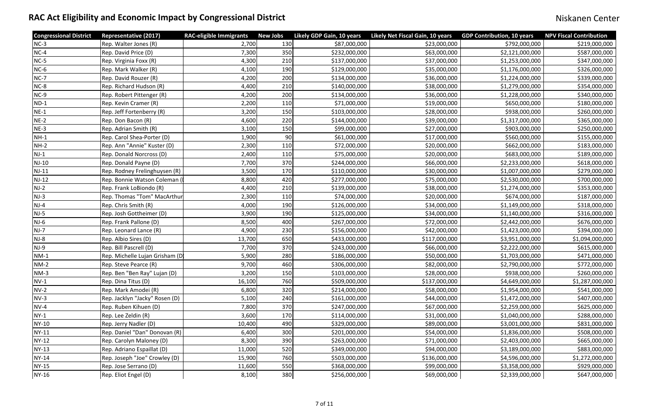| <b>Congressional District</b> | <b>Representative (2017)</b>   | <b>RAC-eligible Immigrants</b> | <b>New Jobs</b> | Likely GDP Gain, 10 years | Likely Net Fiscal Gain, 10 years | <b>GDP Contribution, 10 years</b> | <b>NPV Fiscal Contribution</b> |
|-------------------------------|--------------------------------|--------------------------------|-----------------|---------------------------|----------------------------------|-----------------------------------|--------------------------------|
| $NC-3$                        | Rep. Walter Jones (R)          | 2,700                          | 130             | \$87,000,000              | \$23,000,000                     | \$792,000,000                     | \$219,000,000                  |
| $NC-4$                        | Rep. David Price (D)           | 7,300                          | 350             | \$232,000,000             | \$63,000,000                     | \$2,121,000,000                   | \$587,000,000                  |
| $NC-5$                        | Rep. Virginia Foxx (R)         | 4,300                          | 210             | \$137,000,000             | \$37,000,000                     | \$1,253,000,000                   | \$347,000,000                  |
| $NC-6$                        | Rep. Mark Walker (R)           | 4,100                          | 190             | \$129,000,000             | \$35,000,000                     | \$1,176,000,000                   | \$326,000,000                  |
| $NC-7$                        | Rep. David Rouzer (R)          | 4,200                          | 200             | \$134,000,000             | \$36,000,000                     | \$1,224,000,000                   | \$339,000,000                  |
| $NC-8$                        | Rep. Richard Hudson (R)        | 4,400                          | 210             | \$140,000,000             | \$38,000,000                     | \$1,279,000,000                   | \$354,000,000                  |
| NC-9                          | Rep. Robert Pittenger (R)      | 4,200                          | 200             | \$134,000,000             | \$36,000,000                     | \$1,228,000,000                   | \$340,000,000                  |
| $ND-1$                        | Rep. Kevin Cramer (R)          | 2,200                          | 110             | \$71,000,000              | \$19,000,000                     | \$650,000,000                     | \$180,000,000                  |
| $NE-1$                        | Rep. Jeff Fortenberry (R)      | 3,200                          | 150             | \$103,000,000             | \$28,000,000                     | \$938,000,000                     | \$260,000,000                  |
| $NE-2$                        | Rep. Don Bacon (R)             | 4,600                          | 220             | \$144,000,000             | \$39,000,000                     | \$1,317,000,000                   | \$365,000,000                  |
| $NE-3$                        | Rep. Adrian Smith (R)          | 3,100                          | 150             | \$99,000,000              | \$27,000,000                     | \$903,000,000                     | \$250,000,000                  |
| $NH-1$                        | Rep. Carol Shea-Porter (D)     | 1,900                          | 90              | \$61,000,000              | \$17,000,000                     | \$560,000,000                     | \$155,000,000                  |
| $NH-2$                        | Rep. Ann "Annie" Kuster (D)    | 2,300                          | 110             | \$72,000,000              | \$20,000,000                     | \$662,000,000                     | \$183,000,000                  |
| $NJ-1$                        | Rep. Donald Norcross (D)       | 2,400                          | 110             | \$75,000,000              | \$20,000,000                     | \$683,000,000                     | \$189,000,000                  |
| $NJ-10$                       | Rep. Donald Payne (D)          | 7,700                          | 370             | \$244,000,000             | \$66,000,000                     | \$2,233,000,000                   | \$618,000,000                  |
| $NJ-11$                       | Rep. Rodney Frelinghuysen (R)  | 3,500                          | 170             | \$110,000,000             | \$30,000,000                     | \$1,007,000,000                   | \$279,000,000                  |
| $NJ-12$                       | Rep. Bonnie Watson Coleman (   | 8,800                          | 420             | \$277,000,000             | \$75,000,000                     | \$2,530,000,000                   | \$700,000,000                  |
| $NJ-2$                        | Rep. Frank LoBiondo (R)        | 4,400                          | 210             | \$139,000,000             | \$38,000,000                     | \$1,274,000,000                   | \$353,000,000                  |
| $NJ-3$                        | Rep. Thomas "Tom" MacArthur    | 2,300                          | 110             | \$74,000,000              | \$20,000,000                     | \$674,000,000                     | \$187,000,000                  |
| $NJ-4$                        | Rep. Chris Smith (R)           | 4,000                          | 190             | \$126,000,000             | \$34,000,000                     | \$1,149,000,000                   | \$318,000,000                  |
| $NJ-5$                        | Rep. Josh Gottheimer (D)       | 3,900                          | 190             | \$125,000,000             | \$34,000,000                     | \$1,140,000,000                   | \$316,000,000                  |
| $NJ-6$                        | Rep. Frank Pallone (D)         | 8,500                          | 400             | \$267,000,000             | \$72,000,000                     | \$2,442,000,000                   | \$676,000,000                  |
| $NJ-7$                        | Rep. Leonard Lance (R)         | 4,900                          | 230             | \$156,000,000             | \$42,000,000                     | \$1,423,000,000                   | \$394,000,000                  |
| $NJ-8$                        | Rep. Albio Sires (D)           | 13,700                         | 650             | \$433,000,000             | \$117,000,000                    | \$3,951,000,000                   | \$1,094,000,000                |
| $NJ-9$                        | Rep. Bill Pascrell (D)         | 7,700                          | 370             | \$243,000,000             | \$66,000,000                     | \$2,222,000,000                   | \$615,000,000                  |
| $NM-1$                        | Rep. Michelle Lujan Grisham (D | 5,900                          | 280             | \$186,000,000             | \$50,000,000                     | \$1,703,000,000                   | \$471,000,000                  |
| $NM-2$                        | Rep. Steve Pearce (R)          | 9,700                          | 460             | \$306,000,000             | \$82,000,000                     | \$2,790,000,000                   | \$772,000,000                  |
| $NM-3$                        | Rep. Ben "Ben Ray" Lujan (D)   | 3,200                          | 150             | \$103,000,000             | \$28,000,000                     | \$938,000,000                     | \$260,000,000                  |
| $NV-1$                        | Rep. Dina Titus (D)            | 16,100                         | 760             | \$509,000,000             | \$137,000,000                    | \$4,649,000,000                   | \$1,287,000,000                |
| $NV-2$                        | Rep. Mark Amodei (R)           | 6,800                          | 320             | \$214,000,000             | \$58,000,000                     | \$1,954,000,000                   | \$541,000,000                  |
| $NV-3$                        | Rep. Jacklyn "Jacky" Rosen (D) | 5,100                          | 240             | \$161,000,000             | \$44,000,000                     | \$1,472,000,000                   | \$407,000,000                  |
| $NV-4$                        | Rep. Ruben Kihuen (D)          | 7,800                          | 370             | \$247,000,000             | \$67,000,000                     | \$2,259,000,000                   | \$625,000,000                  |
| $NY-1$                        | Rep. Lee Zeldin (R)            | 3,600                          | 170             | \$114,000,000             | \$31,000,000                     | \$1,040,000,000                   | \$288,000,000                  |
| <b>NY-10</b>                  | Rep. Jerry Nadler (D)          | 10,400                         | 490             | \$329,000,000             | \$89,000,000                     | \$3,001,000,000                   | \$831,000,000                  |
| <b>NY-11</b>                  | Rep. Daniel "Dan" Donovan (R)  | 6,400                          | 300             | \$201,000,000             | \$54,000,000                     | \$1,836,000,000                   | \$508,000,000                  |
| <b>NY-12</b>                  | Rep. Carolyn Maloney (D)       | 8,300                          | 390             | \$263,000,000             | \$71,000,000                     | \$2,403,000,000                   | \$665,000,000                  |
| <b>NY-13</b>                  | Rep. Adriano Espaillat (D)     | 11,000                         | 520             | \$349,000,000             | \$94,000,000                     | \$3,189,000,000                   | \$883,000,000                  |
| <b>NY-14</b>                  | Rep. Joseph "Joe" Crowley (D)  | 15,900                         | 760             | \$503,000,000             | \$136,000,000                    | \$4,596,000,000                   | \$1,272,000,000                |
| <b>NY-15</b>                  | Rep. Jose Serrano (D)          | 11,600                         | 550             | \$368,000,000             | \$99,000,000                     | \$3,358,000,000                   | \$929,000,000                  |
| <b>NY-16</b>                  | Rep. Eliot Engel (D)           | 8,100                          | 380             | \$256,000,000             | \$69,000,000                     | \$2,339,000,000                   | \$647,000,000                  |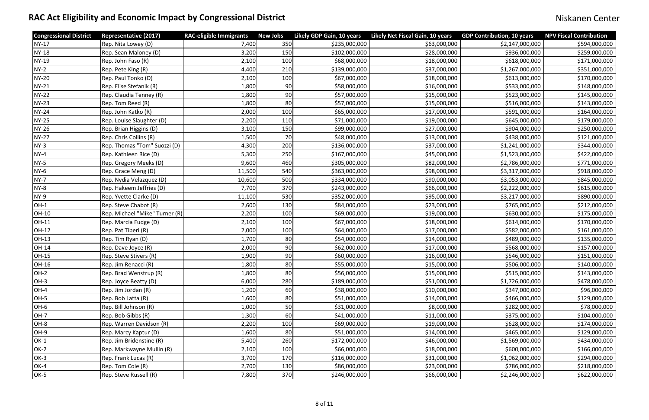| <b>Congressional District</b> | <b>Representative (2017)</b>   | <b>RAC-eligible Immigrants</b> | <b>New Jobs</b> | Likely GDP Gain, 10 years | Likely Net Fiscal Gain, 10 years | <b>GDP Contribution, 10 years</b> | <b>NPV Fiscal Contribution</b> |
|-------------------------------|--------------------------------|--------------------------------|-----------------|---------------------------|----------------------------------|-----------------------------------|--------------------------------|
| <b>NY-17</b>                  | Rep. Nita Lowey (D)            | 7,400                          | 350             | \$235,000,000             | \$63,000,000                     | \$2,147,000,000                   | \$594,000,000                  |
| <b>NY-18</b>                  | Rep. Sean Maloney (D)          | 3,200                          | 150             | \$102,000,000             | \$28,000,000                     | \$936,000,000                     | \$259,000,000                  |
| <b>NY-19</b>                  | Rep. John Faso (R)             | 2,100                          | 100             | \$68,000,000              | \$18,000,000                     | \$618,000,000                     | \$171,000,000                  |
| $NY-2$                        | Rep. Pete King (R)             | 4,400                          | 210             | \$139,000,000             | \$37,000,000                     | \$1,267,000,000                   | \$351,000,000                  |
| <b>NY-20</b>                  | Rep. Paul Tonko (D)            | 2,100                          | 100             | \$67,000,000              | \$18,000,000                     | \$613,000,000                     | \$170,000,000                  |
| <b>NY-21</b>                  | Rep. Elise Stefanik (R)        | 1,800                          | 90              | \$58,000,000              | \$16,000,000                     | \$533,000,000                     | \$148,000,000                  |
| <b>NY-22</b>                  | Rep. Claudia Tenney (R)        | 1,800                          | 90              | \$57,000,000              | \$15,000,000                     | \$523,000,000                     | \$145,000,000                  |
| <b>NY-23</b>                  | Rep. Tom Reed (R)              | 1,800                          | 80              | \$57,000,000              | \$15,000,000                     | \$516,000,000                     | \$143,000,000                  |
| <b>NY-24</b>                  | Rep. John Katko (R)            | 2,000                          | 100             | \$65,000,000              | \$17,000,000                     | \$591,000,000                     | \$164,000,000                  |
| <b>NY-25</b>                  | Rep. Louise Slaughter (D)      | 2,200                          | 110             | \$71,000,000              | \$19,000,000                     | \$645,000,000                     | \$179,000,000                  |
| <b>NY-26</b>                  | Rep. Brian Higgins (D)         | 3,100                          | 150             | \$99,000,000              | \$27,000,000                     | \$904,000,000                     | \$250,000,000                  |
| <b>NY-27</b>                  | Rep. Chris Collins (R)         | 1,500                          | 70              | \$48,000,000              | \$13,000,000                     | \$438,000,000                     | \$121,000,000                  |
| $NY-3$                        | Rep. Thomas "Tom" Suozzi (D)   | 4,300                          | 200             | \$136,000,000             | \$37,000,000                     | \$1,241,000,000                   | \$344,000,000                  |
| $NY-4$                        | Rep. Kathleen Rice (D)         | 5,300                          | 250             | \$167,000,000             | \$45,000,000                     | \$1,523,000,000                   | \$422,000,000                  |
| <b>NY-5</b>                   | Rep. Gregory Meeks (D)         | 9,600                          | 460             | \$305,000,000             | \$82,000,000                     | \$2,786,000,000                   | \$771,000,000                  |
| $NY-6$                        | Rep. Grace Meng (D)            | 11,500                         | 540             | \$363,000,000             | \$98,000,000                     | \$3,317,000,000                   | \$918,000,000                  |
| NY-7                          | Rep. Nydia Velazquez (D)       | 10,600                         | 500             | \$334,000,000             | \$90,000,000                     | \$3,053,000,000                   | \$845,000,000                  |
| NY-8                          | Rep. Hakeem Jeffries (D)       | 7,700                          | 370             | \$243,000,000             | \$66,000,000                     | \$2,222,000,000                   | \$615,000,000                  |
| NY-9                          | Rep. Yvette Clarke (D)         | 11,100                         | 530             | \$352,000,000             | \$95,000,000                     | \$3,217,000,000                   | \$890,000,000                  |
| $OH-1$                        | Rep. Steve Chabot (R)          | 2,600                          | 130             | \$84,000,000              | \$23,000,000                     | \$765,000,000                     | \$212,000,000                  |
| OH-10                         | Rep. Michael "Mike" Turner (R) | 2,200                          | 100             | \$69,000,000              | \$19,000,000                     | \$630,000,000                     | \$175,000,000                  |
| OH-11                         | Rep. Marcia Fudge (D)          | 2,100                          | 100             | \$67,000,000              | \$18,000,000                     | \$614,000,000                     | \$170,000,000                  |
| OH-12                         | Rep. Pat Tiberi (R)            | 2,000                          | 100             | \$64,000,000              | \$17,000,000                     | \$582,000,000                     | \$161,000,000                  |
| OH-13                         | Rep. Tim Ryan (D)              | 1,700                          | 80              | \$54,000,000              | \$14,000,000                     | \$489,000,000                     | \$135,000,000                  |
| OH-14                         | Rep. Dave Joyce (R)            | 2,000                          | 90              | \$62,000,000              | \$17,000,000                     | \$568,000,000                     | \$157,000,000                  |
| OH-15                         | Rep. Steve Stivers (R)         | 1,900                          | 90              | \$60,000,000              | \$16,000,000                     | \$546,000,000                     | \$151,000,000                  |
| OH-16                         | Rep. Jim Renacci (R)           | 1,800                          | 80              | \$55,000,000              | \$15,000,000                     | \$506,000,000                     | \$140,000,000                  |
| OH-2                          | Rep. Brad Wenstrup (R)         | 1,800                          | 80              | \$56,000,000              | \$15,000,000                     | \$515,000,000                     | \$143,000,000                  |
| OH-3                          | Rep. Joyce Beatty (D)          | 6,000                          | 280             | \$189,000,000             | \$51,000,000                     | \$1,726,000,000                   | \$478,000,000                  |
| OH-4                          | Rep. Jim Jordan (R)            | 1,200                          | 60              | \$38,000,000              | \$10,000,000                     | \$347,000,000                     | \$96,000,000                   |
| OH-5                          | Rep. Bob Latta (R)             | 1,600                          | 80              | \$51,000,000              | \$14,000,000                     | \$466,000,000                     | \$129,000,000                  |
| OH-6                          | Rep. Bill Johnson (R)          | 1,000                          | 50              | \$31,000,000              | \$8,000,000                      | \$282,000,000                     | \$78,000,000                   |
| OH-7                          | Rep. Bob Gibbs (R)             | 1,300                          | 60              | \$41,000,000              | \$11,000,000                     | \$375,000,000                     | \$104,000,000                  |
| OH-8                          | Rep. Warren Davidson (R)       | 2,200                          | 100             | \$69,000,000              | \$19,000,000                     | \$628,000,000                     | \$174,000,000                  |
| OH-9                          | Rep. Marcy Kaptur (D)          | 1,600                          | 80              | \$51,000,000              | \$14,000,000                     | \$465,000,000                     | \$129,000,000                  |
| OK-1                          | Rep. Jim Bridenstine (R)       | 5,400                          | 260             | \$172,000,000             | \$46,000,000                     | \$1,569,000,000                   | \$434,000,000                  |
| $OK-2$                        | Rep. Markwayne Mullin (R)      | 2,100                          | 100             | \$66,000,000              | \$18,000,000                     | \$600,000,000                     | \$166,000,000                  |
| OK-3                          | Rep. Frank Lucas (R)           | 3,700                          | 170             | \$116,000,000             | \$31,000,000                     | \$1,062,000,000                   | \$294,000,000                  |
| OK-4                          | Rep. Tom Cole (R)              | 2,700                          | 130             | \$86,000,000              | \$23,000,000                     | \$786,000,000                     | \$218,000,000                  |
| OK-5                          | Rep. Steve Russell (R)         | 7,800                          | 370             | \$246,000,000             | \$66,000,000                     | \$2,246,000,000                   | \$622,000,000                  |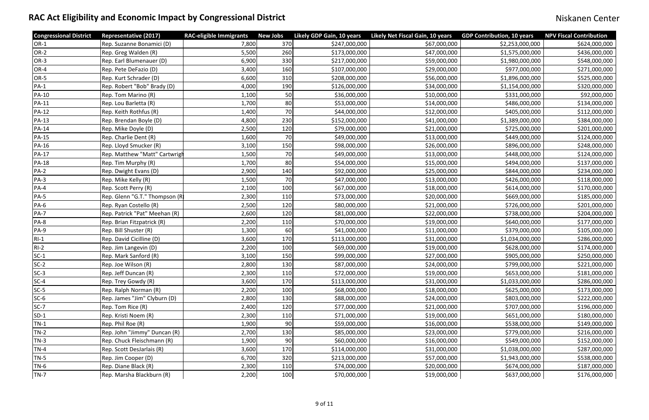| <b>Congressional District</b> | <b>Representative (2017)</b>  | <b>RAC-eligible Immigrants</b> | <b>New Jobs</b> | Likely GDP Gain, 10 years | Likely Net Fiscal Gain, 10 years | <b>GDP Contribution, 10 years</b> | <b>NPV Fiscal Contribution</b> |
|-------------------------------|-------------------------------|--------------------------------|-----------------|---------------------------|----------------------------------|-----------------------------------|--------------------------------|
| OR-1                          | Rep. Suzanne Bonamici (D)     | 7,800                          | 370             | \$247,000,000             | \$67,000,000                     | \$2,253,000,000                   | \$624,000,000                  |
| OR-2                          | Rep. Greg Walden (R)          | 5,500                          | 260             | \$173,000,000             | \$47,000,000                     | \$1,575,000,000                   | \$436,000,000                  |
| OR-3                          | Rep. Earl Blumenauer (D)      | 6,900                          | 330             | \$217,000,000             | \$59,000,000                     | \$1,980,000,000                   | \$548,000,000                  |
| OR-4                          | Rep. Pete DeFazio (D)         | 3,400                          | 160             | \$107,000,000             | \$29,000,000                     | \$977,000,000                     | \$271,000,000                  |
| OR-5                          | Rep. Kurt Schrader (D)        | 6,600                          | 310             | \$208,000,000             | \$56,000,000                     | \$1,896,000,000                   | \$525,000,000                  |
| $PA-1$                        | Rep. Robert "Bob" Brady (D)   | 4,000                          | 190             | \$126,000,000             | \$34,000,000                     | \$1,154,000,000                   | \$320,000,000                  |
| <b>PA-10</b>                  | Rep. Tom Marino (R)           | 1,100                          | 50              | \$36,000,000              | \$10,000,000                     | \$331,000,000                     | \$92,000,000                   |
| <b>PA-11</b>                  | Rep. Lou Barletta (R)         | 1,700                          | 80              | \$53,000,000              | \$14,000,000                     | \$486,000,000                     | \$134,000,000                  |
| <b>PA-12</b>                  | Rep. Keith Rothfus (R)        | 1,400                          | 70              | \$44,000,000              | \$12,000,000                     | \$405,000,000                     | \$112,000,000                  |
| <b>PA-13</b>                  | Rep. Brendan Boyle (D)        | 4,800                          | 230             | \$152,000,000             | \$41,000,000                     | \$1,389,000,000                   | \$384,000,000                  |
| <b>PA-14</b>                  | Rep. Mike Doyle (D)           | 2,500                          | 120             | \$79,000,000              | \$21,000,000                     | \$725,000,000                     | \$201,000,000                  |
| <b>PA-15</b>                  | Rep. Charlie Dent (R)         | 1,600                          | 70              | \$49,000,000              | \$13,000,000                     | \$449,000,000                     | \$124,000,000                  |
| <b>PA-16</b>                  | Rep. Lloyd Smucker (R)        | 3,100                          | 150             | \$98,000,000              | \$26,000,000                     | \$896,000,000                     | \$248,000,000                  |
| <b>PA-17</b>                  | Rep. Matthew "Matt" Cartwrigl | 1,500                          | 70              | \$49,000,000              | \$13,000,000                     | \$448,000,000                     | \$124,000,000                  |
| <b>PA-18</b>                  | Rep. Tim Murphy (R)           | 1,700                          | 80              | \$54,000,000              | \$15,000,000                     | \$494,000,000                     | \$137,000,000                  |
| $PA-2$                        | Rep. Dwight Evans (D)         | 2,900                          | 140             | \$92,000,000              | \$25,000,000                     | \$844,000,000                     | \$234,000,000                  |
| <b>PA-3</b>                   | Rep. Mike Kelly (R)           | 1,500                          | 70              | \$47,000,000              | \$13,000,000                     | \$426,000,000                     | \$118,000,000                  |
| $PA-4$                        | Rep. Scott Perry (R)          | 2,100                          | 100             | \$67,000,000              | \$18,000,000                     | \$614,000,000                     | \$170,000,000                  |
| <b>PA-5</b>                   | Rep. Glenn "G.T." Thompson (R | 2,300                          | 110             | \$73,000,000              | \$20,000,000                     | \$669,000,000                     | \$185,000,000                  |
| <b>PA-6</b>                   | Rep. Ryan Costello (R)        | 2,500                          | 120             | \$80,000,000              | \$21,000,000                     | \$726,000,000                     | \$201,000,000                  |
| <b>PA-7</b>                   | Rep. Patrick "Pat" Meehan (R) | 2,600                          | 120             | \$81,000,000              | \$22,000,000                     | \$738,000,000                     | \$204,000,000                  |
| PA-8                          | Rep. Brian Fitzpatrick (R)    | 2,200                          | 110             | \$70,000,000              | \$19,000,000                     | \$640,000,000                     | \$177,000,000                  |
| PA-9                          | Rep. Bill Shuster (R)         | 1,300                          | 60              | \$41,000,000              | \$11,000,000                     | \$379,000,000                     | \$105,000,000                  |
| $RI-1$                        | Rep. David Cicilline (D)      | 3,600                          | 170             | \$113,000,000             | \$31,000,000                     | \$1,034,000,000                   | \$286,000,000                  |
| $RI-2$                        | Rep. Jim Langevin (D)         | 2,200                          | 100             | \$69,000,000              | \$19,000,000                     | \$628,000,000                     | \$174,000,000                  |
| $SC-1$                        | Rep. Mark Sanford (R)         | 3,100                          | 150             | \$99,000,000              | \$27,000,000                     | \$905,000,000                     | \$250,000,000                  |
| $SC-2$                        | Rep. Joe Wilson (R)           | 2,800                          | 130             | \$87,000,000              | \$24,000,000                     | \$799,000,000                     | \$221,000,000                  |
| $SC-3$                        | Rep. Jeff Duncan (R)          | 2,300                          | 110             | \$72,000,000              | \$19,000,000                     | \$653,000,000                     | \$181,000,000                  |
| $SC-4$                        | Rep. Trey Gowdy (R)           | 3,600                          | 170             | \$113,000,000             | \$31,000,000                     | \$1,033,000,000                   | \$286,000,000                  |
| $SC-5$                        | Rep. Ralph Norman (R)         | 2,200                          | 100             | \$68,000,000              | \$18,000,000                     | \$625,000,000                     | \$173,000,000                  |
| $SC-6$                        | Rep. James "Jim" Clyburn (D)  | 2,800                          | 130             | \$88,000,000              | \$24,000,000                     | \$803,000,000                     | \$222,000,000                  |
| $SC-7$                        | Rep. Tom Rice (R)             | 2,400                          | 120             | \$77,000,000              | \$21,000,000                     | \$707,000,000                     | \$196,000,000                  |
| $SD-1$                        | Rep. Kristi Noem (R)          | 2,300                          | 110             | \$71,000,000              | \$19,000,000                     | \$651,000,000                     | \$180,000,000                  |
| $TN-1$                        | Rep. Phil Roe (R)             | 1,900                          | 90              | \$59,000,000              | \$16,000,000                     | \$538,000,000                     | \$149,000,000                  |
| $TN-2$                        | Rep. John "Jimmy" Duncan (R)  | 2,700                          | 130             | \$85,000,000              | \$23,000,000                     | \$779,000,000                     | \$216,000,000                  |
| TN-3                          | Rep. Chuck Fleischmann (R)    | 1,900                          | 90              | \$60,000,000              | \$16,000,000                     | \$549,000,000                     | \$152,000,000                  |
| $TN-4$                        | Rep. Scott DesJarlais (R)     | 3,600                          | 170             | \$114,000,000             | \$31,000,000                     | \$1,038,000,000                   | \$287,000,000                  |
| $TN-5$                        | Rep. Jim Cooper (D)           | 6,700                          | 320             | \$213,000,000             | \$57,000,000                     | \$1,943,000,000                   | \$538,000,000                  |
| $TN-6$                        | Rep. Diane Black (R)          | 2,300                          | 110             | \$74,000,000              | \$20,000,000                     | \$674,000,000                     | \$187,000,000                  |
| TN-7                          | Rep. Marsha Blackburn (R)     | 2,200                          | 100             | \$70,000,000              | \$19,000,000                     | \$637,000,000                     | \$176,000,000                  |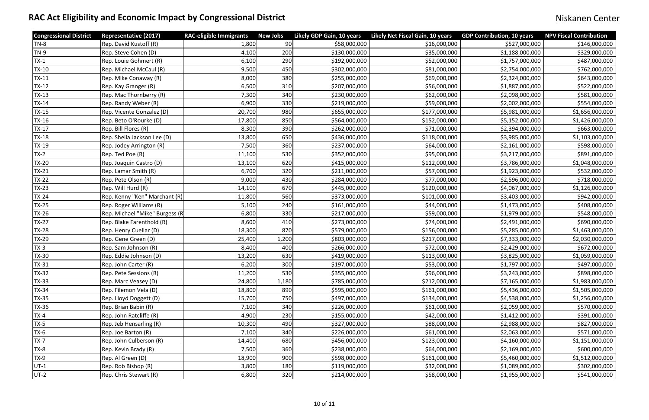| <b>Congressional District</b> | <b>Representative (2017)</b>   | <b>RAC-eligible Immigrants</b> | <b>New Jobs</b> | Likely GDP Gain, 10 years | Likely Net Fiscal Gain, 10 years | <b>GDP Contribution, 10 years</b> | <b>NPV Fiscal Contribution</b> |
|-------------------------------|--------------------------------|--------------------------------|-----------------|---------------------------|----------------------------------|-----------------------------------|--------------------------------|
| $TN-8$                        | Rep. David Kustoff (R)         | 1,800                          | 90              | \$58,000,000              | \$16,000,000                     | \$527,000,000                     | \$146,000,000                  |
| $TN-9$                        | Rep. Steve Cohen (D)           | 4,100                          | 200             | \$130,000,000             | \$35,000,000                     | \$1,188,000,000                   | \$329,000,000                  |
| $TX-1$                        | Rep. Louie Gohmert (R)         | 6,100                          | 290             | \$192,000,000             | \$52,000,000                     | \$1,757,000,000                   | \$487,000,000                  |
| $TX-10$                       | Rep. Michael McCaul (R)        | 9,500                          | 450             | \$302,000,000             | \$81,000,000                     | \$2,754,000,000                   | \$762,000,000                  |
| $TX-11$                       | Rep. Mike Conaway (R)          | 8,000                          | 380             | \$255,000,000             | \$69,000,000                     | \$2,324,000,000                   | \$643,000,000                  |
| $TX-12$                       | Rep. Kay Granger (R)           | 6,500                          | 310             | \$207,000,000             | \$56,000,000                     | \$1,887,000,000                   | \$522,000,000                  |
| $TX-13$                       | Rep. Mac Thornberry (R)        | 7,300                          | 340             | \$230,000,000             | \$62,000,000                     | \$2,098,000,000                   | \$581,000,000                  |
| $TX-14$                       | Rep. Randy Weber (R)           | 6,900                          | 330             | \$219,000,000             | \$59,000,000                     | \$2,002,000,000                   | \$554,000,000                  |
| $TX-15$                       | Rep. Vicente Gonzalez (D)      | 20,700                         | 980             | \$655,000,000             | \$177,000,000                    | \$5,981,000,000                   | \$1,656,000,000                |
| $TX-16$                       | Rep. Beto O'Rourke (D)         | 17,800                         | 850             | \$564,000,000             | \$152,000,000                    | \$5,152,000,000                   | \$1,426,000,000                |
| $TX-17$                       | Rep. Bill Flores (R)           | 8,300                          | 390             | \$262,000,000             | \$71,000,000                     | \$2,394,000,000                   | \$663,000,000                  |
| $TX-18$                       | Rep. Sheila Jackson Lee (D)    | 13,800                         | 650             | \$436,000,000             | \$118,000,000                    | \$3,985,000,000                   | \$1,103,000,000                |
| TX-19                         | Rep. Jodey Arrington (R)       | 7,500                          | 360             | \$237,000,000             | \$64,000,000                     | \$2,161,000,000                   | \$598,000,000                  |
| $TX-2$                        | Rep. Ted Poe (R)               | 11,100                         | 530             | \$352,000,000             | \$95,000,000                     | \$3,217,000,000                   | \$891,000,000                  |
| <b>TX-20</b>                  | Rep. Joaquin Castro (D)        | 13,100                         | 620             | \$415,000,000             | \$112,000,000                    | \$3,786,000,000                   | \$1,048,000,000                |
| $TX-21$                       | Rep. Lamar Smith (R)           | 6,700                          | 320             | \$211,000,000             | \$57,000,000                     | \$1,923,000,000                   | \$532,000,000                  |
| $TX-22$                       | Rep. Pete Olson (R)            | 9,000                          | 430             | \$284,000,000             | \$77,000,000                     | \$2,596,000,000                   | \$718,000,000                  |
| $TX-23$                       | Rep. Will Hurd (R)             | 14,100                         | 670             | \$445,000,000             | \$120,000,000                    | \$4,067,000,000                   | \$1,126,000,000                |
| $TX-24$                       | Rep. Kenny "Ken" Marchant (R)  | 11,800                         | 560             | \$373,000,000             | \$101,000,000                    | \$3,403,000,000                   | \$942,000,000                  |
| $TX-25$                       | Rep. Roger Williams (R)        | 5,100                          | 240             | \$161,000,000             | \$44,000,000                     | \$1,473,000,000                   | \$408,000,000                  |
| $TX-26$                       | Rep. Michael "Mike" Burgess (R | 6,800                          | 330             | \$217,000,000             | \$59,000,000                     | \$1,979,000,000                   | \$548,000,000                  |
| $TX-27$                       | Rep. Blake Farenthold (R)      | 8,600                          | 410             | \$273,000,000             | \$74,000,000                     | \$2,491,000,000                   | \$690,000,000                  |
| TX-28                         | Rep. Henry Cuellar (D)         | 18,300                         | 870             | \$579,000,000             | \$156,000,000                    | \$5,285,000,000                   | \$1,463,000,000                |
| $TX-29$                       | Rep. Gene Green (D)            | 25,400                         | 1,200           | \$803,000,000             | \$217,000,000                    | \$7,333,000,000                   | \$2,030,000,000                |
| $TX-3$                        | Rep. Sam Johnson (R)           | 8,400                          | 400             | \$266,000,000             | \$72,000,000                     | \$2,429,000,000                   | \$672,000,000                  |
| TX-30                         | Rep. Eddie Johnson (D)         | 13,200                         | 630             | \$419,000,000             | \$113,000,000                    | \$3,825,000,000                   | \$1,059,000,000                |
| <b>TX-31</b>                  | Rep. John Carter (R)           | 6,200                          | 300             | \$197,000,000             | \$53,000,000                     | \$1,797,000,000                   | \$497,000,000                  |
| $TX-32$                       | Rep. Pete Sessions (R)         | 11,200                         | 530             | \$355,000,000             | \$96,000,000                     | \$3,243,000,000                   | \$898,000,000                  |
| $TX-33$                       | Rep. Marc Veasey (D)           | 24,800                         | 1,180           | \$785,000,000             | \$212,000,000                    | \$7,165,000,000                   | \$1,983,000,000                |
| $TX-34$                       | Rep. Filemon Vela (D)          | 18,800                         | 890             | \$595,000,000             | \$161,000,000                    | \$5,436,000,000                   | \$1,505,000,000                |
| $TX-35$                       | Rep. Lloyd Doggett (D)         | 15,700                         | 750             | \$497,000,000             | \$134,000,000                    | \$4,538,000,000                   | \$1,256,000,000                |
| TX-36                         | Rep. Brian Babin (R)           | 7,100                          | 340             | \$226,000,000             | \$61,000,000                     | \$2,059,000,000                   | \$570,000,000                  |
| $TX-4$                        | Rep. John Ratcliffe (R)        | 4,900                          | 230             | \$155,000,000             | \$42,000,000                     | \$1,412,000,000                   | \$391,000,000                  |
| $TX-5$                        | Rep. Jeb Hensarling (R)        | 10,300                         | 490             | \$327,000,000             | \$88,000,000                     | \$2,988,000,000                   | \$827,000,000                  |
| $TX-6$                        | Rep. Joe Barton (R)            | 7,100                          | 340             | \$226,000,000             | \$61,000,000                     | \$2,063,000,000                   | \$571,000,000                  |
| $TX-7$                        | Rep. John Culberson (R)        | 14,400                         | 680             | \$456,000,000             | \$123,000,000                    | \$4,160,000,000                   | \$1,151,000,000                |
| $TX-8$                        | Rep. Kevin Brady (R)           | 7,500                          | 360             | \$238,000,000             | \$64,000,000                     | \$2,169,000,000                   | \$600,000,000                  |
| $TX-9$                        | Rep. Al Green (D)              | 18,900                         | 900             | \$598,000,000             | \$161,000,000                    | \$5,460,000,000                   | \$1,512,000,000                |
| $UT-1$                        | Rep. Rob Bishop (R)            | 3,800                          | 180             | \$119,000,000             | \$32,000,000                     | \$1,089,000,000                   | \$302,000,000                  |
| UT-2                          | Rep. Chris Stewart (R)         | 6,800                          | 320             | \$214,000,000             | \$58,000,000                     | \$1,955,000,000                   | \$541,000,000                  |